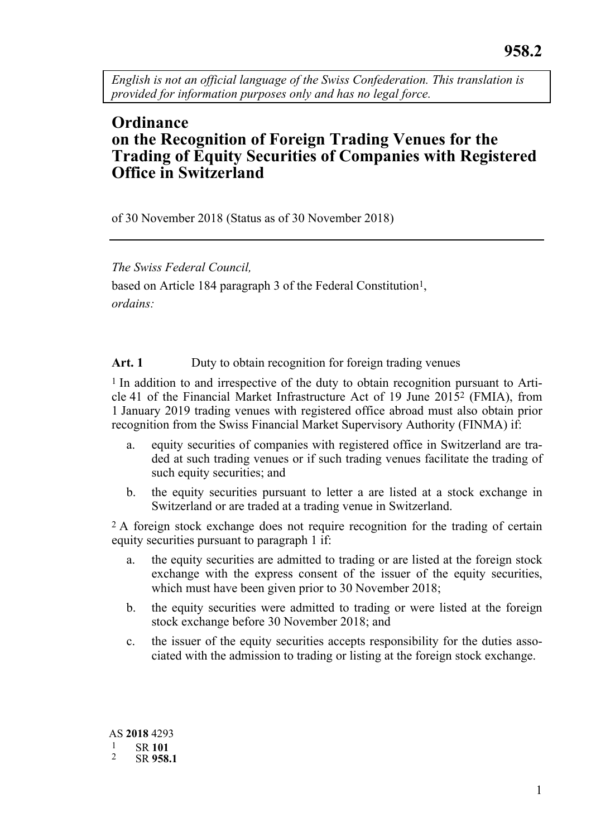*English is not an official language of the Swiss Confederation. This translation is provided for information purposes only and has no legal force.* 

# **Ordinance on the Recognition of Foreign Trading Venues for the Trading of Equity Securities of Companies with Registered Office in Switzerland**

of 30 November 2018 (Status as of 30 November 2018)

## *The Swiss Federal Council,*

based on Article 184 paragraph 3 of the Federal Constitution<sup>1</sup>, *ordains:* 

Art. 1 Duty to obtain recognition for foreign trading venues

1 In addition to and irrespective of the duty to obtain recognition pursuant to Article 41 of the Financial Market Infrastructure Act of 19 June 20152 (FMIA), from 1 January 2019 trading venues with registered office abroad must also obtain prior recognition from the Swiss Financial Market Supervisory Authority (FINMA) if:

- a. equity securities of companies with registered office in Switzerland are traded at such trading venues or if such trading venues facilitate the trading of such equity securities; and
- b. the equity securities pursuant to letter a are listed at a stock exchange in Switzerland or are traded at a trading venue in Switzerland.

2 A foreign stock exchange does not require recognition for the trading of certain equity securities pursuant to paragraph 1 if:

- a. the equity securities are admitted to trading or are listed at the foreign stock exchange with the express consent of the issuer of the equity securities, which must have been given prior to 30 November 2018;
- b. the equity securities were admitted to trading or were listed at the foreign stock exchange before 30 November 2018; and
- c. the issuer of the equity securities accepts responsibility for the duties associated with the admission to trading or listing at the foreign stock exchange.

AS **2018** 4293 1 SR **<sup>101</sup>** 2 SR **958.1**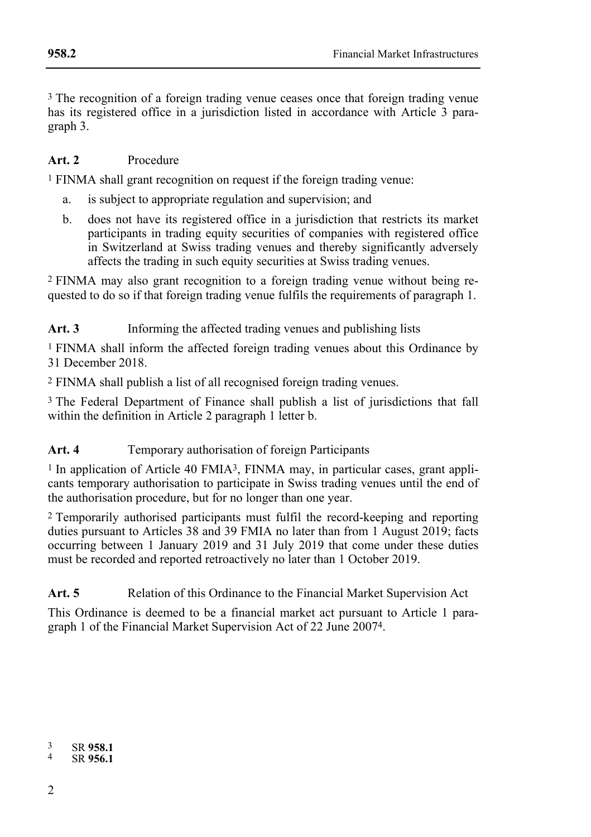3 The recognition of a foreign trading venue ceases once that foreign trading venue has its registered office in a jurisdiction listed in accordance with Article 3 paragraph 3.

#### **Art. 2** Procedure

1 FINMA shall grant recognition on request if the foreign trading venue:

- a. is subject to appropriate regulation and supervision; and
- b. does not have its registered office in a jurisdiction that restricts its market participants in trading equity securities of companies with registered office in Switzerland at Swiss trading venues and thereby significantly adversely affects the trading in such equity securities at Swiss trading venues.

2 FINMA may also grant recognition to a foreign trading venue without being requested to do so if that foreign trading venue fulfils the requirements of paragraph 1.

Art. 3 Informing the affected trading venues and publishing lists

1 FINMA shall inform the affected foreign trading venues about this Ordinance by 31 December 2018.

2 FINMA shall publish a list of all recognised foreign trading venues.

3 The Federal Department of Finance shall publish a list of jurisdictions that fall within the definition in Article 2 paragraph 1 letter b.

### Art. 4 **Temporary authorisation of foreign Participants**

<sup>1</sup> In application of Article 40 FMIA<sup>3</sup>, FINMA may, in particular cases, grant applicants temporary authorisation to participate in Swiss trading venues until the end of the authorisation procedure, but for no longer than one year.

2 Temporarily authorised participants must fulfil the record-keeping and reporting duties pursuant to Articles 38 and 39 FMIA no later than from 1 August 2019; facts occurring between 1 January 2019 and 31 July 2019 that come under these duties must be recorded and reported retroactively no later than 1 October 2019.

Art. 5 **Relation of this Ordinance to the Financial Market Supervision Act** 

This Ordinance is deemed to be a financial market act pursuant to Article 1 paragraph 1 of the Financial Market Supervision Act of 22 June 20074.